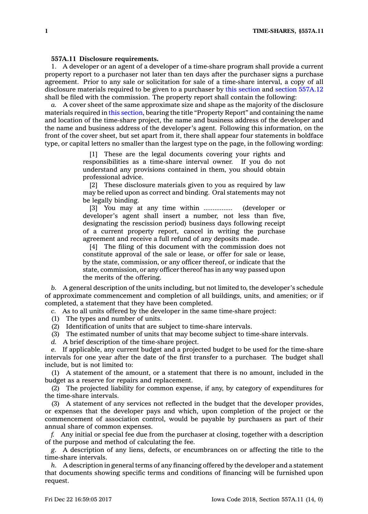## **557A.11 Disclosure requirements.**

1. A developer or an agent of <sup>a</sup> developer of <sup>a</sup> time-share program shall provide <sup>a</sup> current property report to <sup>a</sup> purchaser not later than ten days after the purchaser signs <sup>a</sup> purchase agreement. Prior to any sale or solicitation for sale of <sup>a</sup> time-share interval, <sup>a</sup> copy of all disclosure materials required to be given to <sup>a</sup> purchaser by this [section](https://www.legis.iowa.gov/docs/code/557A.11.pdf) and section [557A.12](https://www.legis.iowa.gov/docs/code/557A.12.pdf) shall be filed with the commission. The property report shall contain the following:

*a.* A cover sheet of the same approximate size and shape as the majority of the disclosure materials required in this [section](https://www.legis.iowa.gov/docs/code/557A.11.pdf), bearing the title "Property Report" and containing the name and location of the time-share project, the name and business address of the developer and the name and business address of the developer's agent. Following this information, on the front of the cover sheet, but set apart from it, there shall appear four statements in boldface type, or capital letters no smaller than the largest type on the page, in the following wording:

> [1] These are the legal documents covering your rights and responsibilities as <sup>a</sup> time-share interval owner. If you do not understand any provisions contained in them, you should obtain professional advice.

> [2] These disclosure materials given to you as required by law may be relied upon as correct and binding. Oral statements may not be legally binding.

> [3] You may at any time within ................ (developer or developer's agent shall insert <sup>a</sup> number, not less than five, designating the rescission period) business days following receipt of <sup>a</sup> current property report, cancel in writing the purchase agreement and receive <sup>a</sup> full refund of any deposits made.

> [4] The filing of this document with the commission does not constitute approval of the sale or lease, or offer for sale or lease, by the state, commission, or any officer thereof, or indicate that the state, commission, or any officer thereof has in any way passed upon the merits of the offering.

*b.* A general description of the units including, but not limited to, the developer's schedule of approximate commencement and completion of all buildings, units, and amenities; or if completed, <sup>a</sup> statement that they have been completed.

*c.* As to all units offered by the developer in the same time-share project:

(1) The types and number of units.

(2) Identification of units that are subject to time-share intervals.

(3) The estimated number of units that may become subject to time-share intervals.

*d.* A brief description of the time-share project.

*e.* If applicable, any current budget and <sup>a</sup> projected budget to be used for the time-share intervals for one year after the date of the first transfer to <sup>a</sup> purchaser. The budget shall include, but is not limited to:

(1) A statement of the amount, or <sup>a</sup> statement that there is no amount, included in the budget as <sup>a</sup> reserve for repairs and replacement.

(2) The projected liability for common expense, if any, by category of expenditures for the time-share intervals.

(3) A statement of any services not reflected in the budget that the developer provides, or expenses that the developer pays and which, upon completion of the project or the commencement of association control, would be payable by purchasers as part of their annual share of common expenses.

*f.* Any initial or special fee due from the purchaser at closing, together with <sup>a</sup> description of the purpose and method of calculating the fee.

*g.* A description of any liens, defects, or encumbrances on or affecting the title to the time-share intervals.

*h.* A description in general terms of any financing offered by the developer and <sup>a</sup> statement that documents showing specific terms and conditions of financing will be furnished upon request.